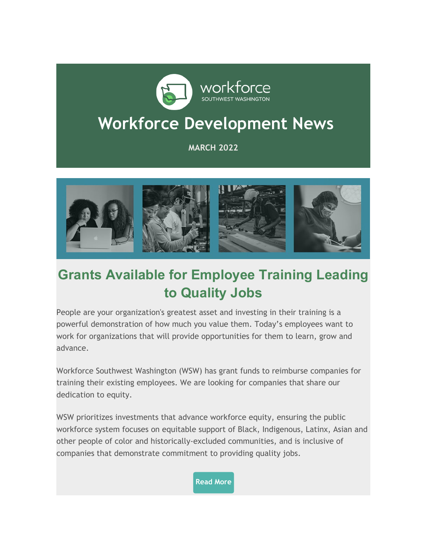

# **Workforce Development News**

#### **MARCH 2022**



# **Grants Available for Employee Training Leading to Quality Jobs**

People are your organization's greatest asset and investing in their training is a powerful demonstration of how much you value them. Today's employees want to work for organizations that will provide opportunities for them to learn, grow and advance.

Workforce Southwest Washington (WSW) has grant funds to reimburse companies for training their existing employees. We are looking for companies that share our dedication to equity.

WSW prioritizes investments that advance workforce equity, ensuring the public workforce system focuses on equitable support of Black, Indigenous, Latinx, Asian and other people of color and historically-excluded communities, and is inclusive of companies that demonstrate commitment to providing quality jobs.

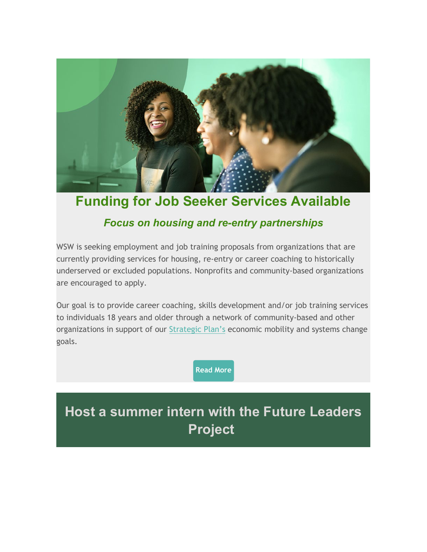

#### **Funding for Job Seeker Services Available**

#### *Focus on housing and re-entry partnerships*

WSW is seeking employment and job training proposals from organizations that are currently providing services for housing, re-entry or career coaching to historically underserved or excluded populations. Nonprofits and community-based organizations are encouraged to apply.

Our goal is to provide career coaching, skills development and/or job training services to individuals 18 years and older through a network of community-based and other organizations in support of our [Strategic Plan's](https://workforcesouthwestwashington.cmail19.com/t/r-l-tyldihkd-bltuukdtyu-t/) economic mobility and systems change goals.

**[Read More](https://workforcesouthwestwashington.cmail19.com/t/r-l-tyldihkd-bltuukdtyu-i/)**

# **Host a summer intern with the Future Leaders Project**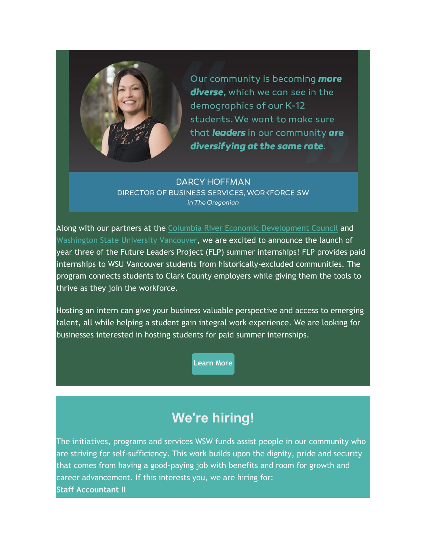

Our community is becoming **more** diverse, which we can see in the demographics of our K-12 students. We want to make sure that leaders in our community are diversifying at the same rate.

**DARCY HOFFMAN** DIRECTOR OF BUSINESS SERVICES, WORKFORCE SW in The Oregonian

Along with our partners at the Columbia River [Economic Development Counci](https://workforcesouthwestwashington.cmail19.com/t/r-l-tyldihkd-bltuukdtyu-h/)l and [Washington State University Vancouver,](https://workforcesouthwestwashington.cmail19.com/t/r-l-tyldihkd-bltuukdtyu-k/) we are excited to announce the launch of year three of the Future Leaders Project (FLP) summer internships! FLP provides paid internships to WSU Vancouver students from historically-excluded communities. The program connects students to Clark County employers while giving them the tools to thrive as they join the workforce.

Hosting an intern can give your business valuable perspective and access to emerging talent, all while helping a student gain integral work experience. We are looking for businesses interested in hosting students for paid summer internships.

**[Learn More](https://workforcesouthwestwashington.cmail19.com/t/r-l-tyldihkd-bltuukdtyu-u/)**

### **We're hiring!**

The initiatives, programs and services WSW funds assist people in our community who are striving for self-sufficiency. This work builds upon the dignity, pride and security that comes from having a good-paying job with benefits and room for growth and career advancement. If this interests you, we are hiring for: **Staff Accountant II**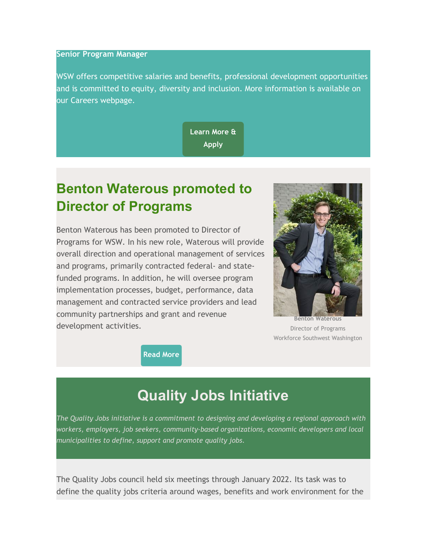#### **Senior Program Manager**

WSW offers competitive salaries and benefits, professional development opportunities and is committed to equity, diversity and inclusion. More information is available on our Careers webpage.

> **[Learn More &](https://workforcesouthwestwashington.cmail19.com/t/r-l-tyldihkd-bltuukdtyu-o/)  Apply**

### **Benton Waterous promoted to Director of Programs**

Benton Waterous has been promoted to Director of Programs for WSW. In his new role, Waterous will provide overall direction and operational management of services and programs, primarily contracted federal- and statefunded programs. In addition, he will oversee program implementation processes, budget, performance, data management and contracted service providers and lead community partnerships and grant and revenue development activities.



Director of Programs Workforce Southwest Washington

**[Read More](https://workforcesouthwestwashington.cmail19.com/t/r-l-tyldihkd-bltuukdtyu-b/)**

### **Quality Jobs Initiative**

*The Quality Jobs initiative is a commitment to designing and developing a regional approach with workers, employers, job seekers, community-based organizations, economic developers and local municipalities to define, support and promote quality jobs.*

The Quality Jobs council held six meetings through January 2022. Its task was to define the quality jobs criteria around wages, benefits and work environment for the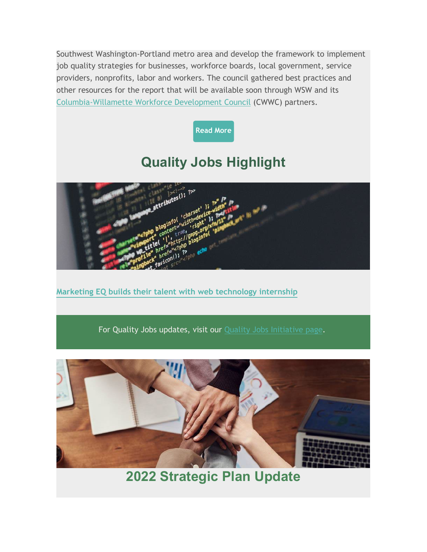Southwest Washington-Portland metro area and develop the framework to implement job quality strategies for businesses, workforce boards, local government, service providers, nonprofits, labor and workers. The council gathered best practices and other resources for the report that will be available soon through WSW and its [Columbia-Willamette Workforce Development Council](https://workforcesouthwestwashington.cmail19.com/t/r-l-tyldihkd-bltuukdtyu-p/) (CWWC) partners.



## **Quality Jobs Highlight**



**[Marketing EQ builds their talent with web technology internship](https://workforcesouthwestwashington.cmail19.com/t/r-l-tyldihkd-bltuukdtyu-c/)**

For Quality Jobs updates, visit our [Quality Jobs Initiative page.](https://workforcesouthwestwashington.cmail19.com/t/r-l-tyldihkd-bltuukdtyu-q/)



**2022 Strategic Plan Update**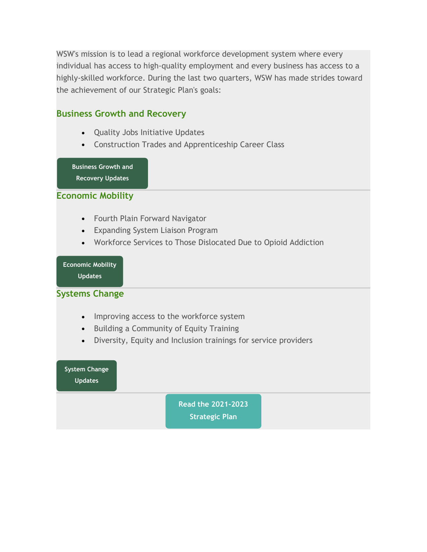WSW's mission is to lead a regional workforce development system where every individual has access to high-quality employment and every business has access to a highly-skilled workforce. During the last two quarters, WSW has made strides toward the achievement of our Strategic Plan's goals:

#### **Business Growth and Recovery**

- Quality Jobs Initiative Updates
- Construction Trades and Apprenticeship Career Class

**[Business Growth and](https://workforcesouthwestwashington.cmail19.com/t/r-l-tyldihkd-bltuukdtyu-f/)** 

**Recovery Updates**

#### **Economic Mobility**

- Fourth Plain Forward Navigator
- Expanding System Liaison Program
- Workforce Services to Those Dislocated Due to Opioid Addiction

#### **[Economic Mobility](https://workforcesouthwestwashington.cmail19.com/t/r-l-tyldihkd-bltuukdtyu-z/)**

**Updates**

#### **Systems Change**

- Improving access to the workforce system
- Building a Community of Equity Training
- Diversity, Equity and Inclusion trainings for service providers

**[System Change](https://workforcesouthwestwashington.cmail19.com/t/r-l-tyldihkd-bltuukdtyu-v/)  Updates**

**[Read the 2021-2023](https://workforcesouthwestwashington.cmail19.com/t/r-l-tyldihkd-bltuukdtyu-e/)** 

**Strategic Plan**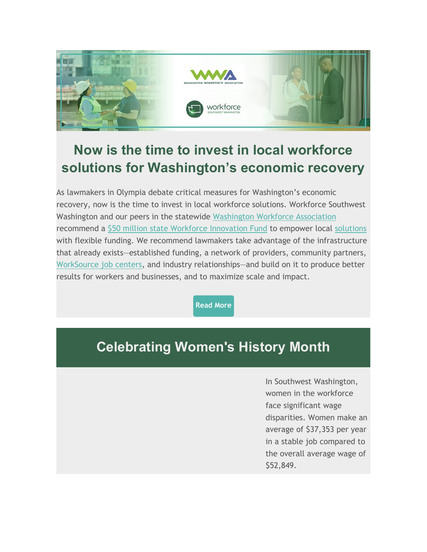

# **Now is the time to invest in local workforce solutions for Washington's economic recovery**

As lawmakers in Olympia debate critical measures for Washington's economic recovery, now is the time to invest in local workforce solutions. Workforce Southwest Washington and our peers in the statewide [Washington Workforce Association](https://workforcesouthwestwashington.cmail19.com/t/r-l-tyldihkd-bltuukdtyu-g/) recommend a [\\$50 million state Workforce Innovation Fund](https://workforcesouthwestwashington.cmail19.com/t/r-l-tyldihkd-bltuukdtyu-w/) to empower local [solutions](https://workforcesouthwestwashington.cmail19.com/t/r-l-tyldihkd-bltuukdtyu-yd/) with flexible funding. We recommend lawmakers take advantage of the infrastructure that already exists—established funding, a network of providers, community partners, [WorkSource job centers,](https://workforcesouthwestwashington.cmail19.com/t/r-l-tyldihkd-bltuukdtyu-yh/) and industry relationships—and build on it to produce better results for workers and businesses, and to maximize scale and impact.

**[Read More](https://workforcesouthwestwashington.cmail19.com/t/r-l-tyldihkd-bltuukdtyu-yk/)**

### **Celebrating Women's History Month**

In Southwest Washington, women in the workforce face significant wage disparities. Women make an average of \$37,353 per year in a stable job compared to the overall average wage of \$52,849.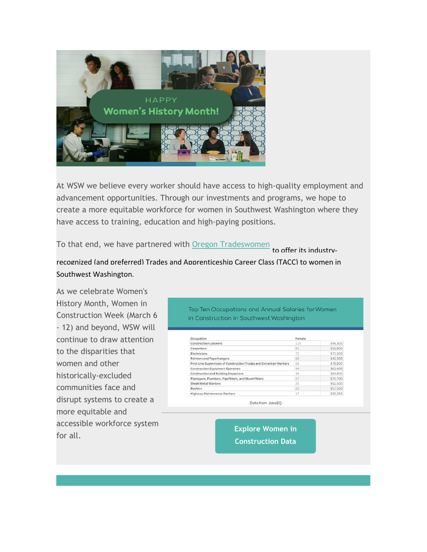

At WSW we believe every worker should have access to high-quality employment and advancement opportunities. Through our investments and programs, we hope to create a more equitable workforce for women in Southwest Washington where they have access to training, education and high-paying positions.

To that end, we have partnered with [Oregon Tradeswomen](https://workforcesouthwestwashington.cmail19.com/t/r-l-tyldihkd-bltuukdtyu-jl/) to offer its industry-

#### recognized (and preferred) Trades and Apprenticeship Career Class (TACC) to women in Southwest Washington.

As we celebrate Women's History Month, Women in Construction Week (March 6 - 12) and beyond, WSW will continue to draw attention to the disparities that women and other historically-excluded communities face and disrupt systems to create a more equitable and accessible workforce system **Explore Women in**<br>**Explore Women in**<br>**Explore Women in** 

Top Ten Occupations and Annual Salaries for Women in Construction in Southwest Washington

| Occupation                                                           | Female |          |
|----------------------------------------------------------------------|--------|----------|
| Construction Laborers                                                | 115    | \$46,300 |
| Carpenters                                                           | 81     | \$56,800 |
| <b>Electricians</b>                                                  | 72     | \$71,500 |
| Painters and Paperhangers                                            | 66     | \$42,300 |
| First-Line Supervisors of Construction Trades and Extraction Workers | 59     | \$78,800 |
| Construction Equipment Operators                                     | 44     | \$61,400 |
| Construction and Building Inspectors                                 | 36     | \$69,800 |
| Pipelayers, Plumbers, Pipefitters, and Steamfitters                  | 27     | \$70,700 |
| Sheet Metal Workers                                                  | 25     | \$62,500 |
| Roofers                                                              | 20     | \$57,500 |
| Highway Maintenance Workers                                          | 17     | \$55,200 |

Data from JobsEQ

**Construction Data**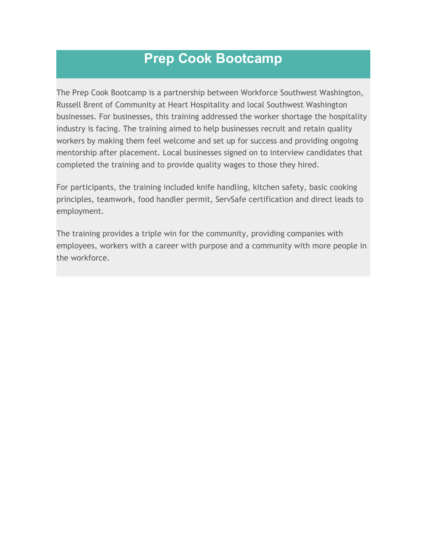### **Prep Cook Bootcamp**

The Prep Cook Bootcamp is a partnership between Workforce Southwest Washington, Russell Brent of Community at Heart Hospitality and local Southwest Washington businesses. For businesses, this training addressed the worker shortage the hospitality industry is facing. The training aimed to help businesses recruit and retain quality workers by making them feel welcome and set up for success and providing ongoing mentorship after placement. Local businesses signed on to interview candidates that completed the training and to provide quality wages to those they hired.

For participants, the training included knife handling, kitchen safety, basic cooking principles, teamwork, food handler permit, ServSafe certification and direct leads to employment.

The training provides a triple win for the community, providing companies with employees, workers with a career with purpose and a community with more people in the workforce.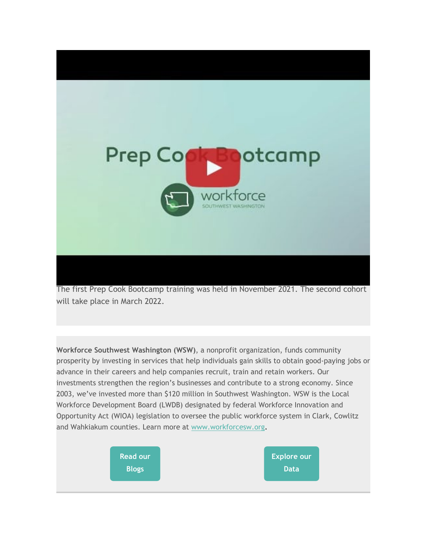

The first Prep Cook Bootcamp training was held in November 2021. The second cohort will take place in March 2022.

**Workforce Southwest Washington (WSW)**, a nonprofit organization, funds community prosperity by investing in services that help individuals gain skills to obtain good-paying jobs or advance in their careers and help companies recruit, train and retain workers. Our investments strengthen the region's businesses and contribute to a strong economy. Since 2003, we've invested more than \$120 million in Southwest Washington. WSW is the Local Workforce Development Board (LWDB) designated by federal Workforce Innovation and Opportunity Act (WIOA) legislation to oversee the public workforce system in Clark, Cowlitz and Wahkiakum counties. Learn more at [www.workforcesw.org.](https://workforcesouthwestwashington.cmail19.com/t/r-l-tyldihkd-bltuukdtyu-jt/)